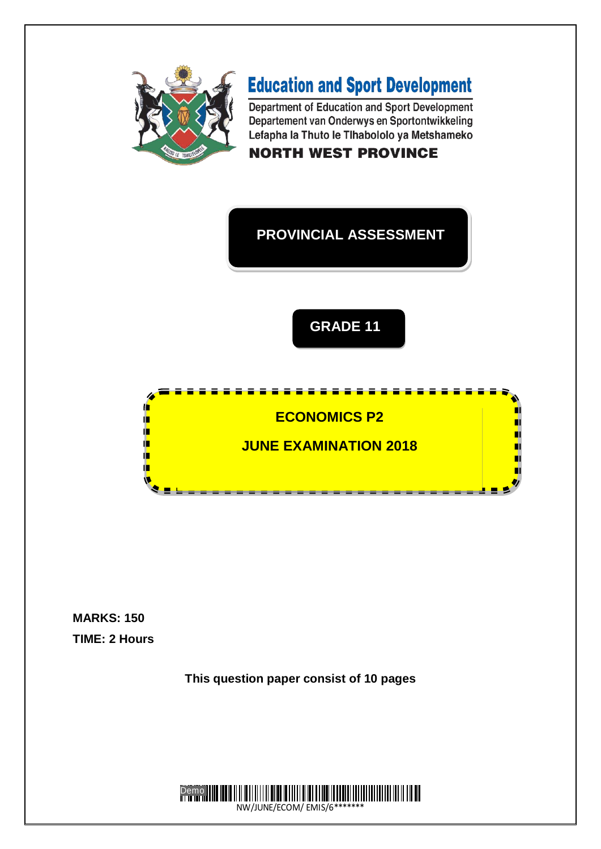

# **Education and Sport Development**

Department of Education and Sport Development Departement van Onderwys en Sportontwikkeling Lefapha la Thuto le Tlhabololo ya Metshameko

# **NORTH WEST PROVINCE**

# **PROVINCIAL ASSESSMENT**





**MARKS: 150 TIME: 2 Hours**

**This question paper consist of 10 pages**

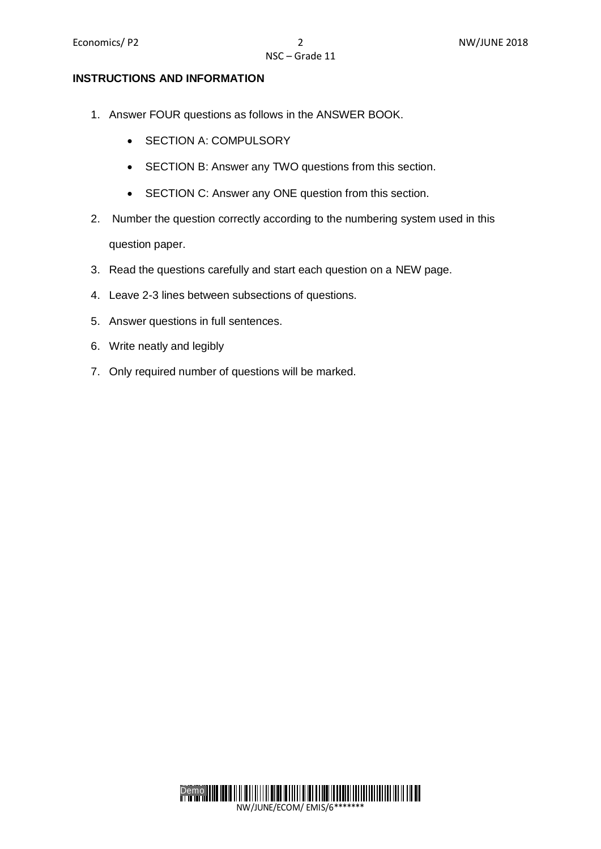#### **INSTRUCTIONS AND INFORMATION**

- 1. Answer FOUR questions as follows in the ANSWER BOOK.
	- SECTION A: COMPULSORY
	- SECTION B: Answer any TWO questions from this section.
	- SECTION C: Answer any ONE question from this section.
- 2. Number the question correctly according to the numbering system used in this question paper.
- 3. Read the questions carefully and start each question on a NEW page.
- 4. Leave 2-3 lines between subsections of questions.
- 5. Answer questions in full sentences.
- 6. Write neatly and legibly
- 7. Only required number of questions will be marked.

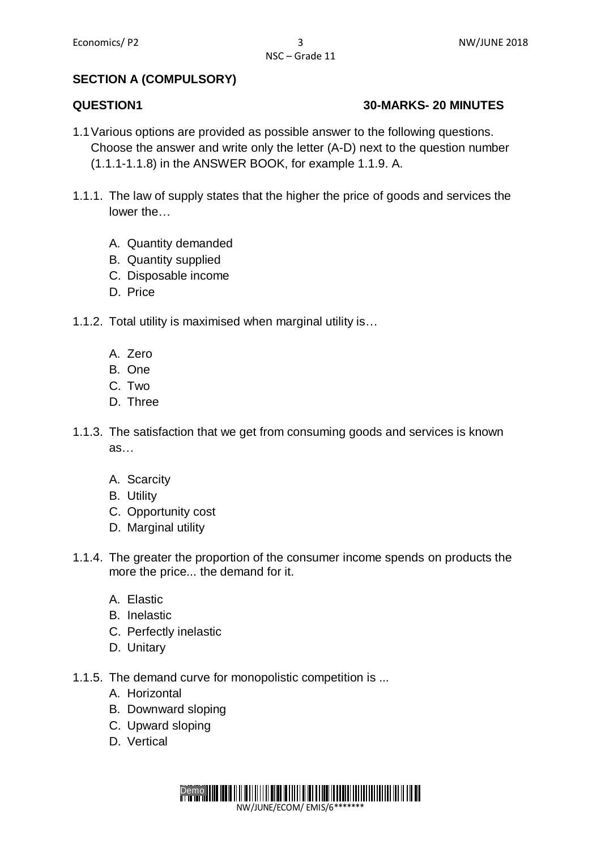### **SECTION A (COMPULSORY)**

#### **QUESTION1 30-MARKS- 20 MINUTES**

- 1.1Various options are provided as possible answer to the following questions. Choose the answer and write only the letter (A-D) next to the question number (1.1.1-1.1.8) in the ANSWER BOOK, for example 1.1.9. A.
- 1.1.1. The law of supply states that the higher the price of goods and services the lower the…
	- A. Quantity demanded
	- B. Quantity supplied
	- C. Disposable income
	- D. Price
- 1.1.2. Total utility is maximised when marginal utility is…
	- A. Zero
	- B. One
	- C. Two
	- D. Three
- 1.1.3. The satisfaction that we get from consuming goods and services is known as…
	- A. Scarcity
	- B. Utility
	- C. Opportunity cost
	- D. Marginal utility
- 1.1.4. The greater the proportion of the consumer income spends on products the more the price... the demand for it.
	- A. Elastic
	- B. Inelastic
	- C. Perfectly inelastic
	- D. Unitary
- 1.1.5. The demand curve for monopolistic competition is ...
	- A. Horizontal
	- B. Downward sloping
	- C. Upward sloping
	- D. Vertical

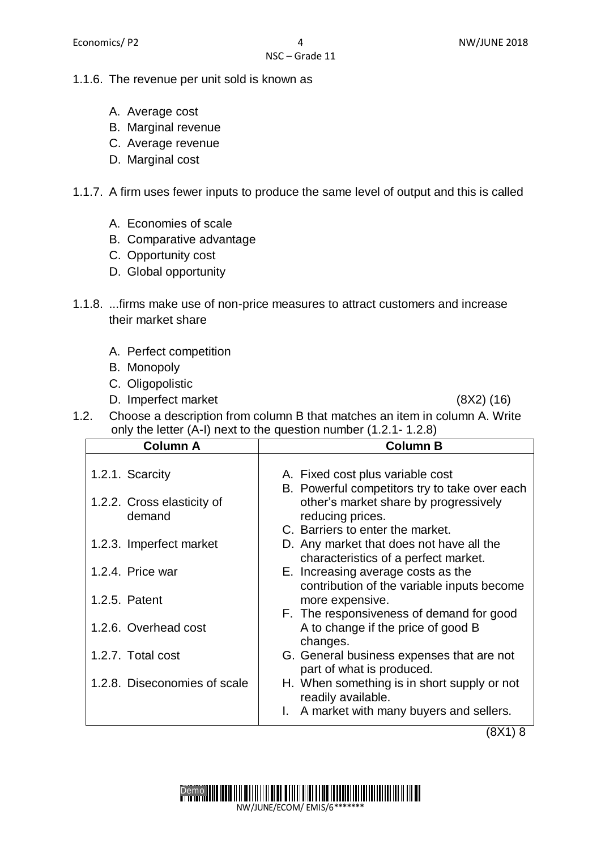#### 1.1.6. The revenue per unit sold is known as

- A. Average cost
- B. Marginal revenue
- C. Average revenue
- D. Marginal cost

#### 1.1.7. A firm uses fewer inputs to produce the same level of output and this is called

- A. Economies of scale
- B. Comparative advantage
- C. Opportunity cost
- D. Global opportunity
- 1.1.8. ...firms make use of non-price measures to attract customers and increase their market share
	- A. Perfect competition
	- B. Monopoly
	- C. Oligopolistic
	- D. Imperfect market (8X2) (16)

1.2. Choose a description from column B that matches an item in column A. Write only the letter (A-I) next to the question number (1.2.1- 1.2.8)

| <b>Column A</b>              | <b>Column B</b>                                                                  |  |  |
|------------------------------|----------------------------------------------------------------------------------|--|--|
| 1.2.1. Scarcity              | A. Fixed cost plus variable cost                                                 |  |  |
|                              | B. Powerful competitors try to take over each                                    |  |  |
| 1.2.2. Cross elasticity of   | other's market share by progressively                                            |  |  |
| demand                       | reducing prices.                                                                 |  |  |
|                              | C. Barriers to enter the market.                                                 |  |  |
| 1.2.3. Imperfect market      | D. Any market that does not have all the<br>characteristics of a perfect market. |  |  |
| 1.2.4. Price war             | E. Increasing average costs as the<br>contribution of the variable inputs become |  |  |
| 1.2.5. Patent                | more expensive.                                                                  |  |  |
|                              | F. The responsiveness of demand for good                                         |  |  |
| 1.2.6. Overhead cost         | A to change if the price of good B<br>changes.                                   |  |  |
| 1.2.7. Total cost            | G. General business expenses that are not                                        |  |  |
|                              | part of what is produced.                                                        |  |  |
| 1.2.8. Diseconomies of scale | H. When something is in short supply or not<br>readily available.                |  |  |
|                              | A market with many buyers and sellers.                                           |  |  |

(8X1) 8

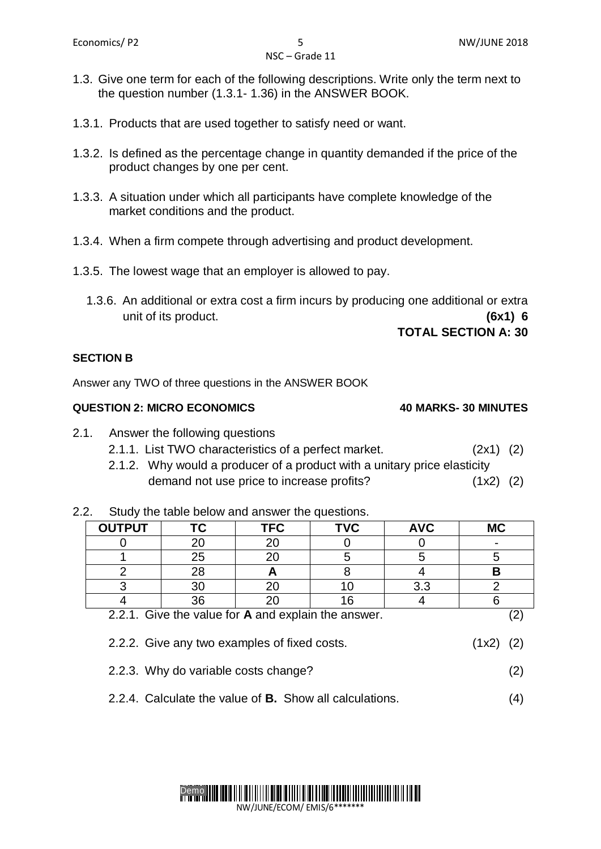- 1.3. Give one term for each of the following descriptions. Write only the term next to the question number (1.3.1- 1.36) in the ANSWER BOOK.
- 1.3.1. Products that are used together to satisfy need or want.
- 1.3.2. Is defined as the percentage change in quantity demanded if the price of the product changes by one per cent.
- 1.3.3. A situation under which all participants have complete knowledge of the market conditions and the product.
- 1.3.4. When a firm compete through advertising and product development.
- 1.3.5. The lowest wage that an employer is allowed to pay.
	- 1.3.6. An additional or extra cost a firm incurs by producing one additional or extra unit of its product. **(6x1) 6**

#### **TOTAL SECTION A: 30**

#### **SECTION B**

Answer any TWO of three questions in the ANSWER BOOK

#### **QUESTION 2: MICRO ECONOMICS 40 MARKS- 30 MINUTES**

- 2.1. Answer the following questions
	- 2.1.1. List TWO characteristics of a perfect market. (2x1) (2)
	- 2.1.2. Why would a producer of a product with a unitary price elasticity demand not use price to increase profits? (1x2) (2)

2.2. Study the table below and answer the questions.

| <b>OUTPUT</b>                                       |    | <b>TFC</b> | TVC | <b>AVC</b> | <b>MC</b> |
|-----------------------------------------------------|----|------------|-----|------------|-----------|
|                                                     |    |            |     |            |           |
|                                                     | 25 |            |     |            |           |
|                                                     |    |            |     |            |           |
|                                                     |    |            |     | 3.3        |           |
|                                                     | 36 |            |     |            |           |
| 2.2.1. Give the value for A and explain the answer. |    |            |     |            |           |

- 2.2.2. Give any two examples of fixed costs. (1x2) (2)
- 2.2.3. Why do variable costs change? (2)
- 2.2.4. Calculate the value of **B.** Show all calculations. (4)

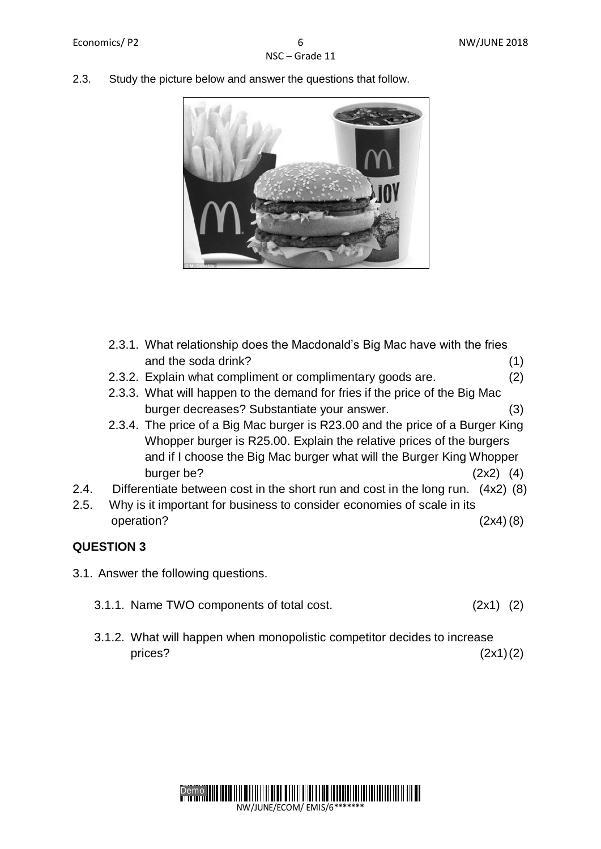2.3. Study the picture below and answer the questions that follow.



- 2.3.1. What relationship does the Macdonald's Big Mac have with the fries and the soda drink? (1)
- 2.3.2. Explain what compliment or complimentary goods are. (2)
- 2.3.3. What will happen to the demand for fries if the price of the Big Mac burger decreases? Substantiate your answer. (3)
- 2.3.4. The price of a Big Mac burger is R23.00 and the price of a Burger King Whopper burger is R25.00. Explain the relative prices of the burgers and if I choose the Big Mac burger what will the Burger King Whopper burger be?  $(2x2)$  (4)
- 2.4. Differentiate between cost in the short run and cost in the long run. (4x2) (8)
- 2.5. Why is it important for business to consider economies of scale in its operation? (2x4) (8)

### **QUESTION 3**

- 3.1. Answer the following questions.
	- 3.1.1. Name TWO components of total cost. (2x1) (2)
	- 3.1.2. What will happen when monopolistic competitor decides to increase prices?  $(2x1)(2)$

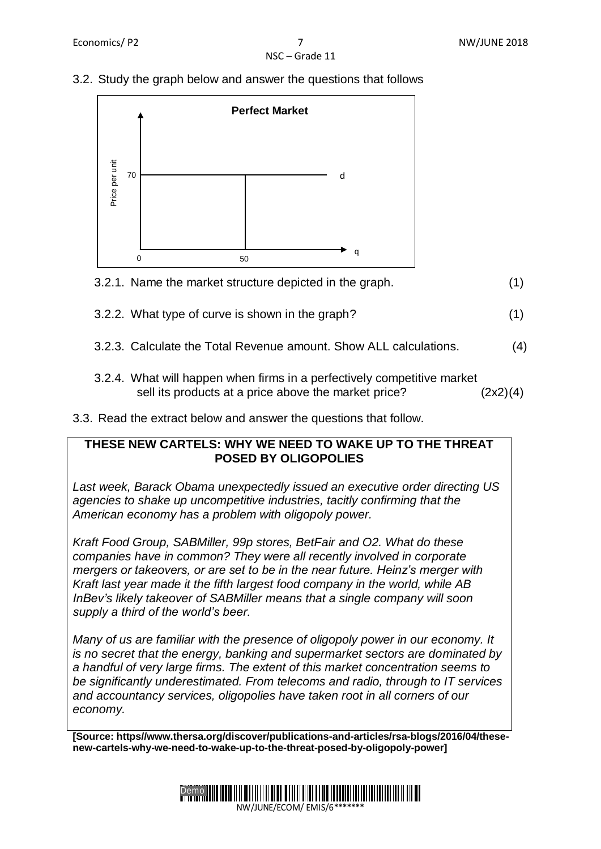# NSC – Grade 11

#### 3.2. Study the graph below and answer the questions that follows



# 3.2.1. Name the market structure depicted in the graph. (1)

- 3.2.2. What type of curve is shown in the graph? (1)
- 3.2.3. Calculate the Total Revenue amount. Show ALL calculations. (4)
- 3.2.4. What will happen when firms in a perfectively competitive market sell its products at a price above the market price? (2x2)(4)
- 3.3. Read the extract below and answer the questions that follow.

#### **THESE NEW CARTELS: WHY WE NEED TO WAKE UP TO THE THREAT POSED BY OLIGOPOLIES**

*Last week, Barack Obama unexpectedly issued an executive order directing US agencies to shake up uncompetitive industries, tacitly confirming that the American economy has a problem with oligopoly power.* 

*Kraft Food Group, SABMiller, 99p stores, BetFair and O2. What do these companies have in common? They were all recently involved in corporate mergers or takeovers, or are set to be in the near future. Heinz's merger with Kraft last year made it the fifth largest food company in the world, while AB InBev's likely takeover of SABMiller means that a single company will soon supply a third of the world's beer.* 

*Many of us are familiar with the presence of oligopoly power in our economy. It is no secret that the energy, banking and supermarket sectors are dominated by a handful of very large firms. The extent of this market concentration seems to be significantly underestimated. From telecoms and radio, through to IT services and accountancy services, oligopolies have taken root in all corners of our economy.*

**[Source: https//www.thersa.org/discover/publications-and-articles/rsa-blogs/2016/04/thesenew-cartels-why-we-need-to-wake-up-to-the-threat-posed-by-oligopoly-power]** 

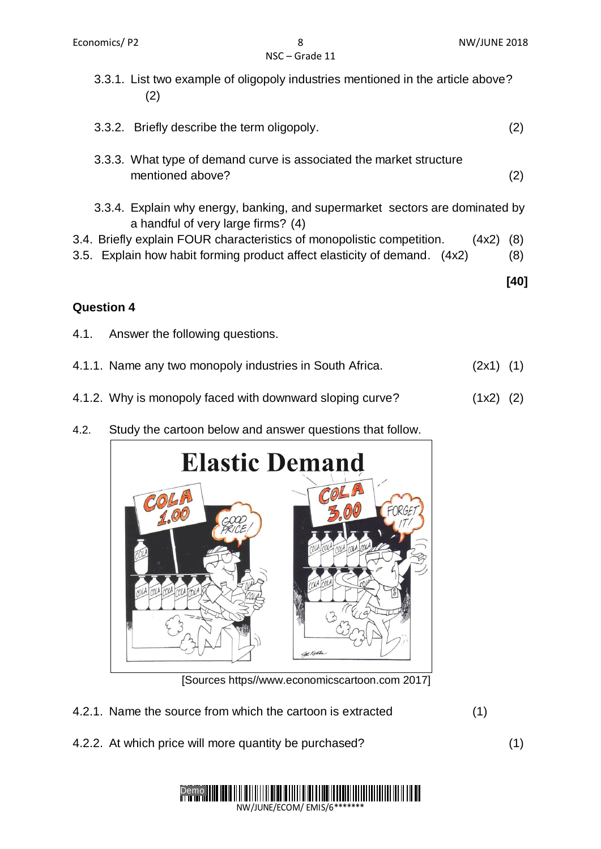- 3.3.1. List two example of oligopoly industries mentioned in the article above? (2)
- 3.3.2. Briefly describe the term oligopoly. (2)
- 3.3.3. What type of demand curve is associated the market structure mentioned above? (2)
- 3.3.4. Explain why energy, banking, and supermarket sectors are dominated by a handful of very large firms? (4)
- 3.4. Briefly explain FOUR characteristics of monopolistic competition. (4x2) (8)
- 3.5. Explain how habit forming product affect elasticity of demand. (4x2) (8)

 **[40]**

### **Question 4**

- 4.1. Answer the following questions.
- 4.1.1. Name any two monopoly industries in South Africa. (2x1) (1)
- 4.1.2. Why is monopoly faced with downward sloping curve? (1x2) (2)
- 4.2. Study the cartoon below and answer questions that follow.



[Sources https//www.economicscartoon.com 2017]

- 4.2.1. Name the source from which the cartoon is extracted (1)
- 4.2.2. At which price will more quantity be purchased? (1)

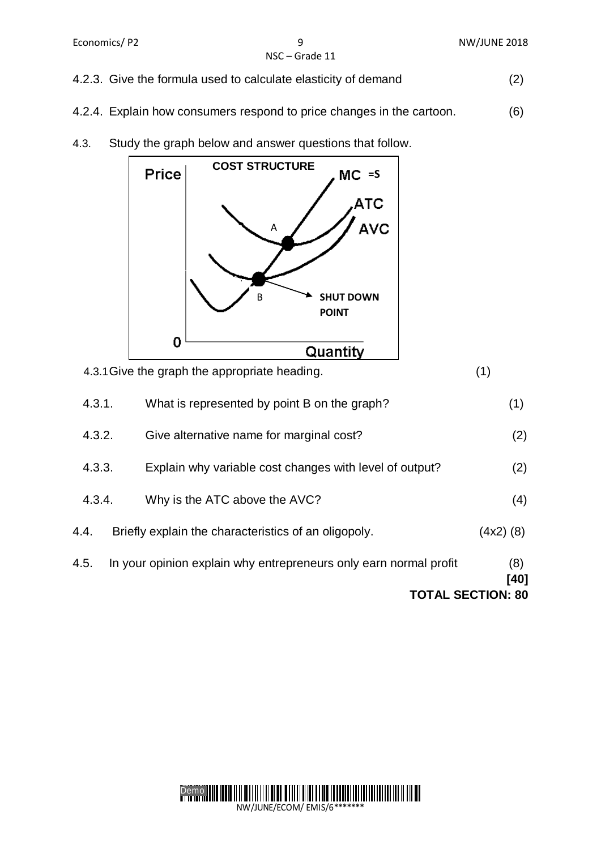- 4.2.3. Give the formula used to calculate elasticity of demand (2)
- 4.2.4. Explain how consumers respond to price changes in the cartoon. (6)
- 4.3. Study the graph below and answer questions that follow.